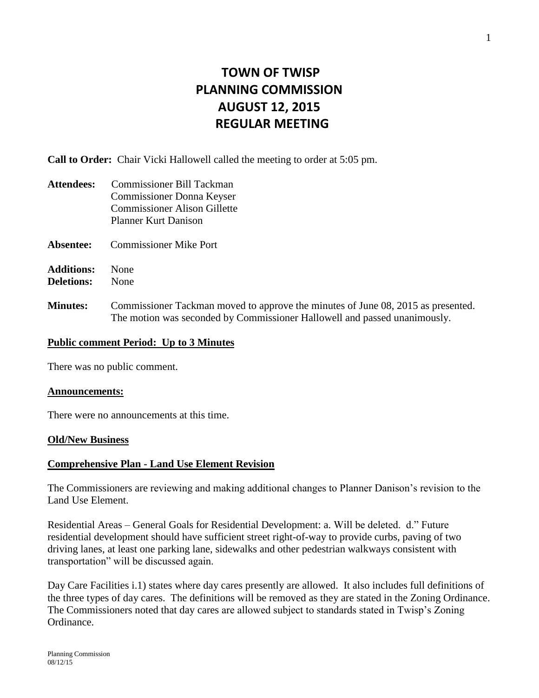# **TOWN OF TWISP PLANNING COMMISSION AUGUST 12, 2015 REGULAR MEETING**

**Call to Order:** Chair Vicki Hallowell called the meeting to order at 5:05 pm.

| <b>Attendees:</b>                      | <b>Commissioner Bill Tackman</b><br>Commissioner Donna Keyser<br><b>Commissioner Alison Gillette</b><br><b>Planner Kurt Danison</b>                           |
|----------------------------------------|---------------------------------------------------------------------------------------------------------------------------------------------------------------|
| Absentee:                              | <b>Commissioner Mike Port</b>                                                                                                                                 |
| <b>Additions:</b><br><b>Deletions:</b> | None<br>None                                                                                                                                                  |
| <b>Minutes:</b>                        | Commissioner Tackman moved to approve the minutes of June 08, 2015 as presented.<br>The motion was seconded by Commissioner Hallowell and passed unanimously. |

# **Public comment Period: Up to 3 Minutes**

There was no public comment.

### **Announcements:**

There were no announcements at this time.

# **Old/New Business**

# **Comprehensive Plan - Land Use Element Revision**

The Commissioners are reviewing and making additional changes to Planner Danison's revision to the Land Use Element.

Residential Areas – General Goals for Residential Development: a. Will be deleted. d." Future residential development should have sufficient street right-of-way to provide curbs, paving of two driving lanes, at least one parking lane, sidewalks and other pedestrian walkways consistent with transportation" will be discussed again.

Day Care Facilities i.1) states where day cares presently are allowed. It also includes full definitions of the three types of day cares. The definitions will be removed as they are stated in the Zoning Ordinance. The Commissioners noted that day cares are allowed subject to standards stated in Twisp's Zoning Ordinance.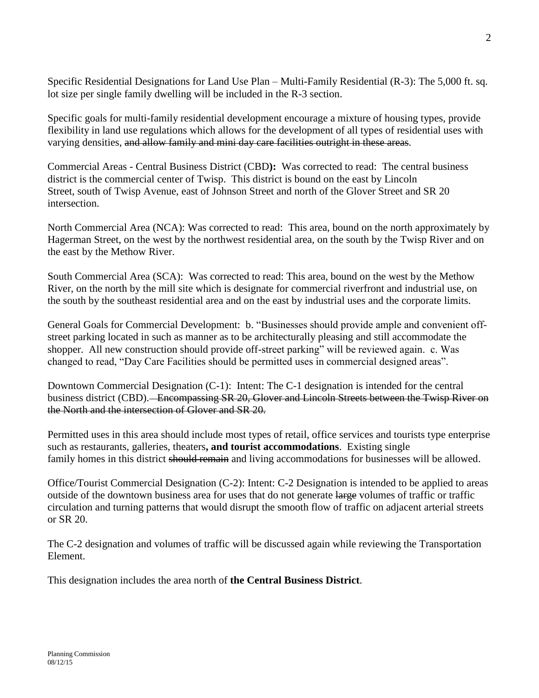Specific Residential Designations for Land Use Plan – Multi-Family Residential (R-3): The 5,000 ft. sq. lot size per single family dwelling will be included in the R-3 section.

Specific goals for multi-family residential development encourage a mixture of housing types, provide flexibility in land use regulations which allows for the development of all types of residential uses with varying densities, and allow family and mini day care facilities outright in these areas.

Commercial Areas - Central Business District (CBD**):** Was corrected to read: The central business district is the commercial center of Twisp. This district is bound on the east by Lincoln Street, south of Twisp Avenue, east of Johnson Street and north of the Glover Street and SR 20 intersection.

North Commercial Area (NCA): Was corrected to read: This area, bound on the north approximately by Hagerman Street, on the west by the northwest residential area, on the south by the Twisp River and on the east by the Methow River.

South Commercial Area (SCA): Was corrected to read: This area, bound on the west by the Methow River, on the north by the mill site which is designate for commercial riverfront and industrial use, on the south by the southeast residential area and on the east by industrial uses and the corporate limits.

General Goals for Commercial Development: b. "Businesses should provide ample and convenient offstreet parking located in such as manner as to be architecturally pleasing and still accommodate the shopper. All new construction should provide off-street parking" will be reviewed again. c. Was changed to read, "Day Care Facilities should be permitted uses in commercial designed areas".

Downtown Commercial Designation (C-1): Intent: The C-1 designation is intended for the central business district (CBD). Encompassing SR 20, Glover and Lincoln Streets between the Twisp River on the North and the intersection of Glover and SR 20.

Permitted uses in this area should include most types of retail, office services and tourists type enterprise such as restaurants, galleries, theaters**, and tourist accommodations**. Existing single family homes in this district should remain and living accommodations for businesses will be allowed.

Office/Tourist Commercial Designation (C-2): Intent: C-2 Designation is intended to be applied to areas outside of the downtown business area for uses that do not generate large volumes of traffic or traffic circulation and turning patterns that would disrupt the smooth flow of traffic on adjacent arterial streets or SR 20.

The C-2 designation and volumes of traffic will be discussed again while reviewing the Transportation Element.

This designation includes the area north of **the Central Business District**.